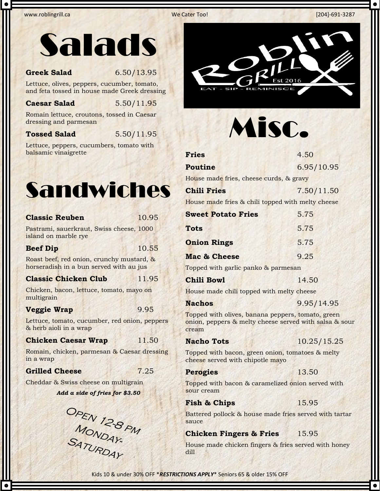www.roblingrill.ca **Market Construction Construction Construction Construction Construction Construction Construction Construction Construction Construction Construction Construction Construction Construction Construction** 



### **Greek Salad** 6.50/13.95

Lettuce, olives, peppers, cucumber, tomato, and feta tossed in house made Greek dressing

### **Caesar Salad** 5.50/11.95

Romain lettuce, croutons, tossed in Caesar dressing and parmesan

**Tossed Salad** 5.50/11.95

Lettuce, peppers, cucumbers, tomato with balsamic vinaigrette



| <b>Classic Reuben</b>                                                                | 10.95 |  |
|--------------------------------------------------------------------------------------|-------|--|
| Pastrami, sauerkraut, Swiss cheese, 1000<br>island on marble rye                     |       |  |
| <b>Beef Dip</b>                                                                      | 10.55 |  |
| Roast beef, red onion, crunchy mustard, &<br>horseradish in a bun served with au jus |       |  |
| <b>Classic Chicken Club</b>                                                          | 11.95 |  |
| Chicken, bacon, lettuce, tomato, mayo on<br>multigrain                               |       |  |
| <b>Veggie Wrap</b>                                                                   | 9.95  |  |
| Lettuce, tomato, cucumber, red onion, peppers<br>& herb aioli in a wrap              |       |  |
| <b>Chicken Caesar Wrap</b>                                                           | 11.50 |  |
| Romain, chicken, parmesan & Caesar dressing<br>in a wrap                             |       |  |
| <b>Grilled Cheese</b>                                                                | 7.25  |  |
| Cheddar & Swiss cheese on multigrain                                                 |       |  |
| Add a side of fries for \$3.50                                                       |       |  |
| OPEN 12-8 PM                                                                         |       |  |

 $\omega_{4}$ 



# Misc.

| <b>Fries</b> | 4.50 |
|--------------|------|
|              |      |

**Poutine** 6.95/10.95

House made fries, cheese curds, & gravy

| <b>Chili Fries</b> | 7.50/11.50 |
|--------------------|------------|
|                    |            |

House made fries & chili topped with melty cheese

| <b>Sweet Potato Fries</b> | 5.75 |
|---------------------------|------|
| <b>Tots</b>               | 5.75 |
| <b>Onion Rings</b>        | 5.75 |
| Mac & Cheese              | 9.25 |
| $\sim$<br>$\sim$          |      |

Topped with garlic panko & parmesan

**Chili Bowl** 14.50

House made chili topped with melty cheese

### **Nachos** 9.95/14.95

Topped with olives, banana peppers, tomato, green onion, peppers & melty cheese served with salsa & sour cream

**Nacho Tots** 10.25/15.25

Topped with bacon, green onion, tomatoes & melty cheese served with chipotle mayo

### Perogies 13.50

Topped with bacon & caramelized onion served with sour cream

## **Fish & Chips** 15.95

Battered pollock & house made fries served with tartar sauce

# **Chicken Fingers & Fries** 15.95

House made chicken fingers & fries served with honey dill

Kids 10 & under 30% OFF \**RESTRICTIONS APPLY*\* Seniors 65 & older 15% OFF